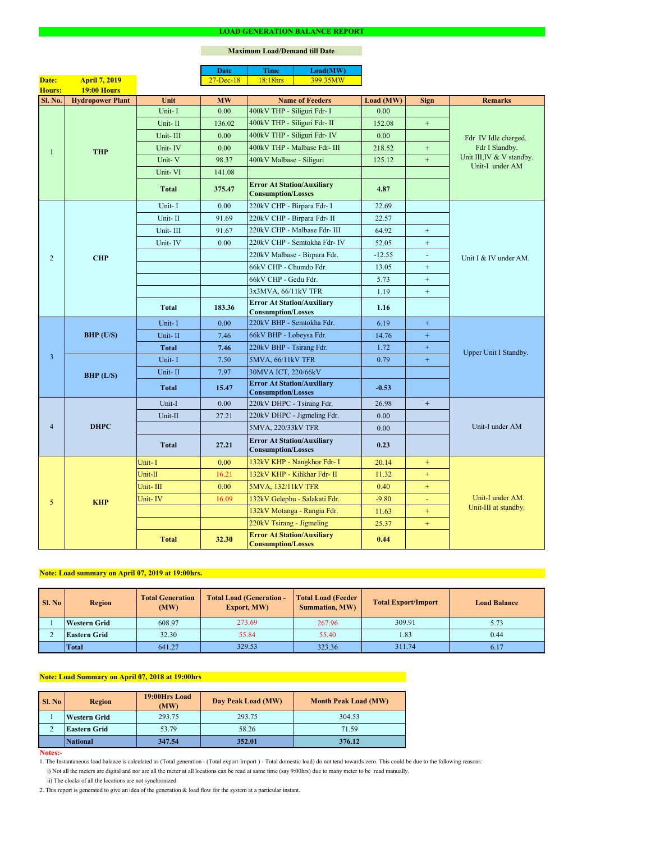#### **Notes:-**

|                |                         |              | <b>Date</b>       | <b>Time</b>                                                    | Load(MW)                      |           |                  |                                              |  |
|----------------|-------------------------|--------------|-------------------|----------------------------------------------------------------|-------------------------------|-----------|------------------|----------------------------------------------|--|
| Date:          | <b>April 7, 2019</b>    |              | $27$ -Dec-18      | 18:18hrs                                                       | 399.35MW                      |           |                  |                                              |  |
| Hours:         | <b>19:00 Hours</b>      |              |                   |                                                                |                               |           |                  |                                              |  |
| Sl. No.        | <b>Hydropower Plant</b> | Unit         | <b>MW</b>         |                                                                | <b>Name of Feeders</b>        | Load (MW) | <b>Sign</b>      | <b>Remarks</b>                               |  |
|                |                         | Unit-I       | 0.00              | 400kV THP - Siliguri Fdr- I                                    |                               | 0.00      |                  |                                              |  |
|                |                         | Unit-II      | 136.02            | 400kV THP - Siliguri Fdr- II                                   |                               | 152.08    | $\pm$            |                                              |  |
|                |                         | Unit-III     | 0.00              |                                                                | 400kV THP - Siliguri Fdr- IV  | 0.00      |                  | Fdr IV Idle charged.                         |  |
|                | <b>THP</b>              | Unit-IV      | 0.00              |                                                                | 400kV THP - Malbase Fdr- III  | 218.52    | $\pm$            | Fdr I Standby.                               |  |
|                |                         | Unit-V       | 98.37             | 400kV Malbase - Siliguri                                       |                               | 125.12    | $\pm$            | Unit III, IV & V standby.<br>Unit-I under AM |  |
|                |                         | Unit-VI      | 141.08            |                                                                |                               |           |                  |                                              |  |
|                |                         | <b>Total</b> | 375.47            | <b>Error At Station/Auxiliary</b><br><b>Consumption/Losses</b> |                               | 4.87      |                  |                                              |  |
|                |                         | Unit-I       | 0.00              | 220kV CHP - Birpara Fdr- I                                     |                               | 22.69     |                  |                                              |  |
|                |                         | Unit-II      | 91.69             | 220kV CHP - Birpara Fdr- II                                    |                               | 22.57     |                  |                                              |  |
|                |                         | Unit-III     | 91.67             |                                                                | 220kV CHP - Malbase Fdr- III  | 64.92     | $+$              |                                              |  |
|                |                         | Unit-IV      | 0.00              |                                                                | 220kV CHP - Semtokha Fdr- IV  | 52.05     | $\boldsymbol{+}$ |                                              |  |
| 2              | <b>CHP</b>              |              |                   |                                                                | 220kV Malbase - Birpara Fdr.  | $-12.55$  | $\blacksquare$   | Unit I & IV under AM.                        |  |
|                |                         |              |                   | 66kV CHP - Chumdo Fdr.                                         |                               | 13.05     | $+$              |                                              |  |
|                |                         |              |                   | 66kV CHP - Gedu Fdr.                                           |                               | 5.73      | $+$              |                                              |  |
|                |                         |              |                   | 3x3MVA, 66/11kV TFR                                            |                               | 1.19      | $\boldsymbol{+}$ |                                              |  |
|                |                         | <b>Total</b> | 183.36            | <b>Error At Station/Auxiliary</b><br><b>Consumption/Losses</b> |                               | 1.16      |                  |                                              |  |
|                |                         | Unit-I       | 0.00              | 220kV BHP - Semtokha Fdr.                                      |                               | 6.19      | $\pm$            |                                              |  |
|                | <b>BHP</b> (U/S)        | Unit-II      | 7.46              | 66kV BHP - Lobeysa Fdr.                                        |                               | 14.76     | $\pm$            |                                              |  |
|                |                         | <b>Total</b> | 7.46              | 220kV BHP - Tsirang Fdr.                                       |                               | 1.72      | $+$              | Upper Unit I Standby.                        |  |
| 3              |                         | Unit-I       | 7.50              | 5MVA, 66/11kV TFR                                              |                               | 0.79      | $+$              |                                              |  |
|                | BHP (L/S)               | Unit-II      | 7.97              | 30MVA ICT, 220/66kV                                            |                               |           |                  |                                              |  |
|                |                         | <b>Total</b> | 15.47             | <b>Error At Station/Auxiliary</b>                              |                               | $-0.53$   |                  |                                              |  |
|                |                         |              |                   | <b>Consumption/Losses</b>                                      |                               |           |                  |                                              |  |
|                |                         | Unit-I       | 0.00              | 220kV DHPC - Tsirang Fdr.                                      |                               | 26.98     | $+$              |                                              |  |
|                |                         | Unit-II      | 27.21             |                                                                | 220kV DHPC - Jigmeling Fdr.   | 0.00      |                  |                                              |  |
| $\overline{4}$ | <b>DHPC</b>             |              |                   | 5MVA, 220/33kV TFR                                             |                               | 0.00      |                  | Unit-I under AM                              |  |
|                |                         | <b>Total</b> | 27.21             | <b>Error At Station/Auxiliary</b><br><b>Consumption/Losses</b> |                               | 0.23      |                  |                                              |  |
|                |                         | Unit-I       | 0.00 <sub>1</sub> |                                                                | 132kV KHP - Nangkhor Fdr- I   | 20.14     | $+$              |                                              |  |
|                |                         | Unit-II      | 16.21             |                                                                | 132kV KHP - Kilikhar Fdr- II  | 11.32     | $+$              |                                              |  |
|                |                         | Unit-III     | 0.00              | 5MVA, 132/11kV TFR                                             |                               | 0.40      | $+$              |                                              |  |
| 5              | <b>KHP</b>              | Unit-IV      | 16.09             |                                                                | 132kV Gelephu - Salakati Fdr. | $-9.80$   | $\blacksquare$   | Unit-I under AM.                             |  |
|                |                         |              |                   |                                                                | 132kV Motanga - Rangia Fdr.   | 11.63     | $+$              | Unit-III at standby.                         |  |
|                |                         |              |                   | 220kV Tsirang - Jigmeling                                      |                               | 25.37     | $+$              |                                              |  |
|                |                         | <b>Total</b> | 32.30             | <b>Error At Station/Auxiliary</b><br><b>Consumption/Losses</b> |                               | 0.44      |                  |                                              |  |

#### **LOAD GENERATION BALANCE REPORT**

| SI. No | <b>Total Generation</b><br><b>Region</b><br>(MW) |        | <b>Total Load (Generation -</b><br><b>Export, MW)</b> | <b>Total Load (Feeder)</b><br><b>Summation, MW)</b> | <b>Total Export/Import</b> | <b>Load Balance</b> |
|--------|--------------------------------------------------|--------|-------------------------------------------------------|-----------------------------------------------------|----------------------------|---------------------|
|        | <b>Western Grid</b>                              | 608.97 | 273.69                                                | 267.96                                              | 309.91                     | 5.73                |
|        | 32.30<br><b>Eastern Grid</b>                     |        | 55.84                                                 | 55.40                                               | 1.83                       | 0.44                |
|        | <b>Total</b>                                     | 641.27 | 329.53                                                | 323.36                                              | 311.74                     | 6.17                |

| <b>Sl. No</b> | <b>Region</b>       | 19:00Hrs Load<br>(MW) | Day Peak Load (MW) | <b>Month Peak Load (MW)</b> |  |
|---------------|---------------------|-----------------------|--------------------|-----------------------------|--|
|               | <b>Western Grid</b> | 293.75                | 293.75             | 304.53                      |  |
| ∠             | <b>Eastern Grid</b> | 53.79                 | 58.26              | 71.59                       |  |
|               | <b>National</b>     | 347.54                | 352.01             | 376.12                      |  |

i) Not all the meters are digital and nor are all the meter at all locations can be read at same time (say 9:00hrs) due to many meter to be read manually.

# **Note: Load Summary on April 07, 2018 at 19:00hrs**

1. The Instantaneous load balance is calculated as (Total generation - (Total export-Import ) - Total domestic load) do not tend towards zero. This could be due to the following reasons:

# **Note: Load summary on April 07, 2019 at 19:00hrs.**

2. This report is generated to give an idea of the generation & load flow for the system at a particular instant.

### **Maximum Load/Demand till Date**

ii) The clocks of all the locations are not synchronized